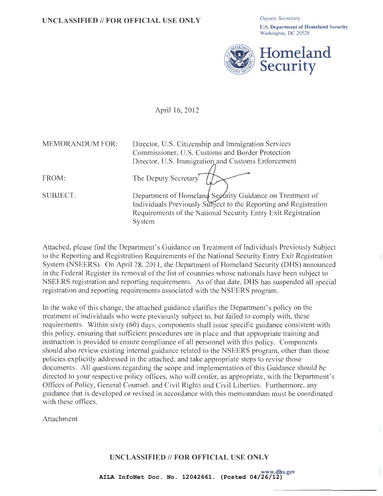U.S. Department of Homeland Security Washington, DC 20528



April 16, 2012

| MEMORANDUM FOR: | Director, U.S. Citizenship and Immigration Services              |
|-----------------|------------------------------------------------------------------|
|                 | Commissioner, U.S. Customs and Border Protection                 |
|                 | Director, U.S. Immigration and Customs Enforcement               |
|                 |                                                                  |
| FROM:           | The Deputy Secretary                                             |
| <b>SUBJECT:</b> | Department of Homeland Security Guidance on Treatment of         |
|                 | Individuals Previously Subject to the Reporting and Registration |
|                 | Requirements of the National Security Entry Exit Registration    |
|                 | System                                                           |

Attached, please find the Department's Guidance on Treatment of Individuals Previously Subject to the Reporting and Registration Requirements of the National Security Entry Exit Registration System (NSEERS). On April 28, 2011 , the Department of Homeland Security (DHS) announced in the Federal Register its removal of the list of countries whose nationals have been subject to NSEERS registration and reporting requirements. As of that date, DHS has suspended all special registration and reporting requirements associated with the NSEERS program.

In the wake of this change, the attached guidance clarifies the Department's policy on the treatment of individuals who were previously subject to, but failed to comply with, these requirements. Within sixty (60) days, components shall issue specific guidance consistent with this policy, ensuring that sufficient procedures are in place and that appropriate training and instruction is provided to ensure compliance of all personnel with this policy. Components should also review existing internal guidance related to the NSEERS program, other than those policies explicitly addressed in the attached, and take appropriate steps to revise those documents. All questions regarding the scope and implementation of this Guidance should be directed to your respective policy offices, who will confer, as appropriate, with the Department's Offices of Policy, General Counsel, and Civil Rights and Civil Liberties. Furthermore, any guidance that is developed or revised in accordance with this memorandum must be coordinated with these offices.

Attachment

UNCLASSIFIED // FOR OFFICIAL USE ONLY

www.dhs.gov **AILA InfoNet Doc. No. 12042661. (Posted 04/26/12)**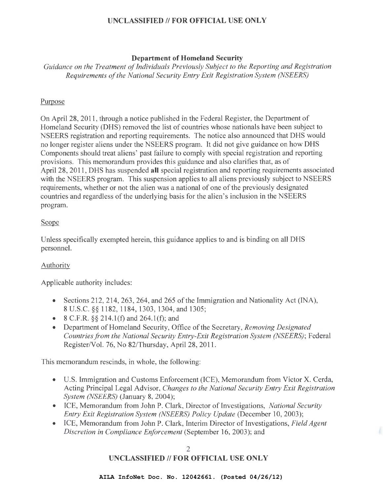# **Department of Homeland Security**

*Guidance on the Treatment of Individuals Previously Subject to the Reporting and Registration Requirements of the National Security Entry Exit Registration System (NSEERS)* 

## Purpose

On April28, 2011 , through a notice published in the Federal Register, the Department of Homeland Security (DHS) removed the list of countries whose nationals have been subject to NSEERS registration and reporting requirements. The notice also announced that DHS would no longer register aliens under the NSEERS program. It did not give guidance on how DHS Components should treat aliens' past failure to comply with special registration and reporting provisions. This memorandum provides this guidance and also clarifies that, as of April28, 2011 , DHS has suspended **all** special registration and reporting requirements associated with the NSEERS program. This suspension applies to all aliens previously subject to NSEERS requirements, whether or not the alien was a national of one of the previously designated countries and regardless of the underlying basis for the alien's inclusion in the NSEERS program.

## Scope

Unless specifically exempted herein, this guidance applies to and is binding on all DHS personnel.

# Authority

Applicable authority includes:

- Sections 212, 214, 263, 264, and 265 of the Immigration and Nationality Act (INA), 8 U.S.C. §§ 1182, 1184, 1303, 1304, and 1305;
- 8 C.F.R.  $\S$ § 214.1(f) and 264.1(f); and
- Department of Homeland Security, Office of the Secretary, *Removing Designated Countries from the National Security Entry-Exit Registration System (NSEERS);* Federal Register/Vol. 76, No 82/Thursday, April 28, 2011.

This memorandum rescinds, in whole, the following:

- U.S. Immigration and Customs Enforcement (ICE), Memorandum from Victor X. Cerda, Acting Principal Legal Advisor, *Changes to the National Security Entry Exit Registration System (NSEERS)* (January 8, 2004);
- ICE, Memorandum from John P. Clark, Director of Investigations, *National Security Entry Exit Registration System (NSEERS) Policy Update (December 10, 2003);*
- ICE, Memorandum from John P. Clark, Interim Director of Investigations, *Field Agent Discretion in Compliance Enforcement* (September 16, 2003); and

## 2 **UNCLASSIFIED II FOR OFFICIAL USE ONLY**

**AILA InfoNet Doc. No. 12042661. (Posted 04/26/12)**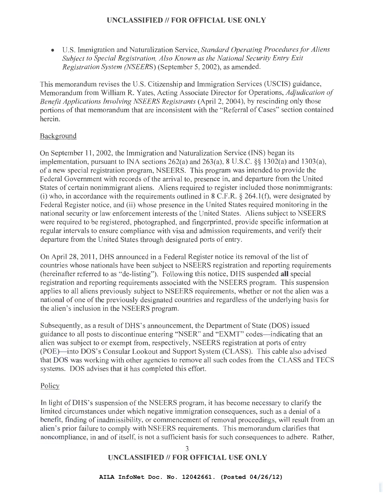• U.S. Immigration and Naturalization Service, *Standard Operating Procedures for Aliens Subject to Special Registration, Also Known as the National Security Entry Exit Registration System (NSEERS)* (September 5, 2002), as amended.

This memorandum revises the U.S. Citizenship and Immigration Services (USCIS) guidance, Memorandum from William R. Yates, Acting Associate Director for Operations, *Adjudication of Benefit Applications Involving NSEERS Registrants* (April 2, 2004), by rescinding only those portions of that memorandum that are inconsistent with the "Referral of Cases" section contained herein.

## Background

On September 11 , 2002, the Immigration and Naturalization Service (INS) began its implementation, pursuant to INA sections 262(a) and 263(a), 8 U.S.C. §§ 1302(a) and 1303(a), of a new special registration program, NSEERS. This program was intended to provide the Federal Government with records of the arrival to, presence in, and departure from the United States of certain nonimmigrant aliens. Aliens required to register included those nonirnmigrants: (i) who, in accordance with the requirements outlined in 8 C.F.R.  $\S$  264.1(f), were designated by Federal Register notice, and (ii) whose presence in the United States required monitoring in the national security or law enforcement interests of the United States. Aliens subject to NSEERS were required to be registered, photographed, and fingerprinted, provide specific information at regular intervals to ensure compliance with visa and admission requirements, and verify their departure from the United States through designated ports of entry.

On April28, 2011 , DHS announced in a Federal Register notice its removal of the list of countries whose nationals have been subject to NSEERS registration and reporting requirements (hereinafter referred to as "de-listing"). Following this notice, DHS suspended **all** special registration and reporting requirements associated with the NSEERS program. This suspension applies to all aliens previously subject to NSEERS requirements, whether or not the alien was a national of one of the previously designated countries and regardless of the underlying basis for the alien's inclusion in the NSEERS program.

Subsequently, as a result of DHS's announcement, the Department of State (DOS) issued guidance to all posts to discontinue entering "NSER" and "EXMT" codes—indicating that an alien was subject to or exempt from, respectively, NSEERS registration at ports of entry (POE)-into DOS's Consular Lookout and Support System (CLASS). This cable also advised that DOS was working with other agencies to remove all such codes from the CLASS and TECS systems. DOS advises that it has completed this effort.

### Policy

In light of DHS's suspension of the NSEERS program, it has become necessary to clarify the limited circumstances under which negative immigration consequences, such as a denial of a benefit, finding of inadmissibility, or commencement of removal proceedings, will result from an alien's prior failure to comply with NSEERS requirements. This memorandum clarifies that noncompliance, in and of itself, is not a sufficient basis for such consequences to adhere. Rather,

> 3 **UNCLASSIFIED II FOR OFFICIAL USE ONLY**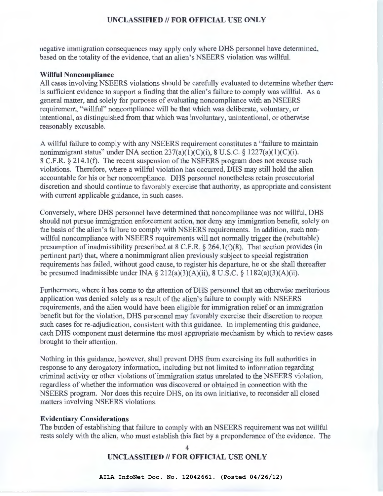negative immigration consequences may apply only where DHS personnel have determined, based on the totality of the evidence, that an alien's NSEERS violation was willful.

#### **Willful Noncompliance**

All cases involving NSEERS violations should be carefully evaluated to determine whether there is sufficient evidence to support a finding that the alien's failure to comply was willful. As a general matter, and solely for purposes of evaluating noncompliance with an NSEERS requirement, "willful" noncompliance will be that which was deliberate, voluntary, or intentional, as distinguished from that which was involuntary, unintentional, or otherwise reasonably excusable.

A willful failure to comply with any NSEERS requirement constitutes a "failure to maintain nonimmigrant status" under INA section  $237(a)(1)(C)(i)$ , 8 U.S.C. § 1227(a)(1)(C)(i). 8 C.F.R. § 214.1(f). The recent suspension of the NSEERS program does not excuse such violations. Therefore, where a willful violation has occurred, DHS may still hold the alien accountable for his or her noncompliance. DHS personnel nonetheless retain prosecutorial discretion and should continue to favorably exercise that authority, as appropriate and consistent with current applicable guidance, in such cases.

Conversely, where DHS personnel have determined that noncompliance was not willful, DHS should not pursue immigration enforcement action, nor deny any immigration benefit, solely on the basis of the alien's failure to comply with NSEERS requirements. In addition, such nonwillful noncompliance with NSEERS requirements will not normally trigger the (rebuttable) presumption of inadmissibility prescribed at 8 C.F.R. § 264.1(f)(8). That section provides (in pertinent part) that, where a nonimmigrant alien previously subject to special registration requirements has failed, without good cause, to register his departure, he or she shall thereafter be presumed inadmissible under INA  $\S 212(a)(3)(A)(ii)$ , 8 U.S.C.  $\S 1182(a)(3)(A)(ii)$ .

Furthermore, where it has come to the attention of DHS personnel that an otherwise meritorious application was denied solely as a result of the alien's failure to comply with NSEERS requirements, and the alien would have been eligible for immigration relief or an immigration benefit but for the violation, DHS personnel may favorably exercise their discretion to reopen such cases for re-adjudication, consistent with this guidance. In implementing this guidance, each DHS component must determine the most appropriate mechanism by which to review cases brought to their attention.

Nothing in this guidance, however, shall prevent DHS from exercising its full authorities in response to any derogatory information, including but not limited to information regarding criminal activity or other violations of immigration status unrelated to the NSEERS violation, regardless of whether the information was discovered or obtained in connection with the NSEERS program. Nor does this require DHS, on its own initiative, to reconsider all closed matters involving NSEERS violations.

#### **Evidentiary Considerations**

The burden of establishing that failure to comply with an NSEERS requirement was not willful rests solely with the alien, who must establish this fact by a preponderance of the evidence. The

> 4 **UNCLASSIFIED II FOR OFFICIAL USE ONLY**

**AILA InfoNet Doc. No. 12042661. (Posted 04/26/12)**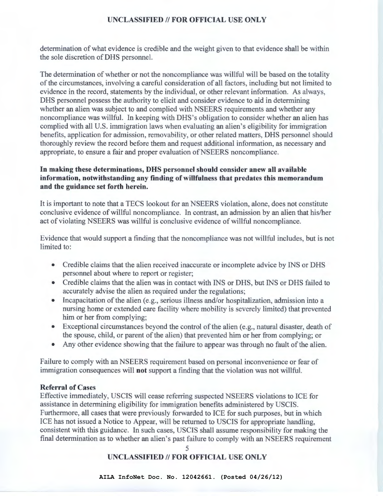determination of what evidence is credible and the weight given to that evidence shall be within the sole discretion of DHS personnel.

The determination of whether or not the noncompliance was willful will be based on the totality of the circumstances, involving a careful consideration of all factors, including but not limited to evidence in the record, statements by the individual, or other relevant information. As always, DHS personnel possess the authority to elicit and consider evidence to aid in determining whether an alien was subject to and complied with NSEERS requirements and whether any noncompliance was willful. In keeping with DHS's obligation to consider whether an alien has complied with all U.S. immigration laws when evaluating an alien's eligibility for immigration benefits, application for admission, removability, or other related matters, DHS personnel should thoroughly review the record before them and request additional information, as necessary and appropriate, to ensure a fair and proper evaluation of NSEERS noncompliance.

## In making these determinations, DHS personnel should consider anew all available information, notwithstanding any finding of willfulness that predates this memorandum and the guidance set forth herein.

It is important to note that a TECS lookout for an NSEERS violation, alone, does not constitute conclusive evidence of willful noncompliance. In contrast, an admission by an alien that his/her act of violating NSEERS was willful is conclusive evidence of willful noncompliance.

Evidence that would support a finding that the noncompliance was not willful includes, but is not limited to:

- Credible claims that the alien received inaccurate or incomplete advice by INS or DHS personnel about where to report or register;
- Credible claims that the alien was in contact with INS or DHS, but INS or DHS failed to accurately advise the alien as required under the regulations;
- Incapacitation of the alien (e.g., serious illness and/or hospitalization, admission into a nursing home or extended care facility where mobility is severely limited) that prevented him or her from complying;
- Exceptional circumstances beyond the control of the alien (e.g., natural disaster, death of the spouse, child, or parent of the alien) that prevented him or her from complying; or
- Any other evidence showing that the failure to appear was through no fault of the alien.

Failure to comply with an NSEERS requirement based on personal inconvenience or fear of immigration consequences will not support a finding that the violation was not willful.

### Referral of Cases

Effective immediately, USCIS will cease referring suspected NSEERS violations to ICE for assistance in determining eligibility for immigration benefits administered by USCIS. Furthermore, all cases that were previously forwarded to ICE for such purposes, but in which ICE has not issued a Notice to Appear, will be returned to USCIS for appropriate handling, consistent with this guidance. In such cases, USCIS shall assume responsibility for making the final determination as to whether an alien's past failure to comply with an NSEERS requirement

5

# UNCLASSIFIED // FOR OFFICIAL USE ONLY

**AILA InfoNet Doc. No. 12042661. (Posted 04/26/12)**